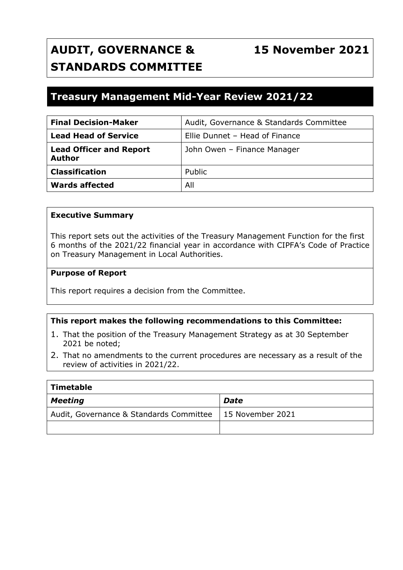# **AUDIT, GOVERNANCE & STANDARDS COMMITTEE**

# **15 November 2021**

# **Treasury Management Mid-Year Review 2021/22**

| <b>Final Decision-Maker</b>                     | Audit, Governance & Standards Committee |
|-------------------------------------------------|-----------------------------------------|
| <b>Lead Head of Service</b>                     | Ellie Dunnet - Head of Finance          |
| <b>Lead Officer and Report</b><br><b>Author</b> | John Owen - Finance Manager             |
| <b>Classification</b>                           | Public                                  |
| <b>Wards affected</b>                           | All                                     |

#### **Executive Summary**

This report sets out the activities of the Treasury Management Function for the first 6 months of the 2021/22 financial year in accordance with CIPFA's Code of Practice on Treasury Management in Local Authorities.

#### **Purpose of Report**

This report requires a decision from the Committee.

#### **This report makes the following recommendations to this Committee:**

- 1. That the position of the Treasury Management Strategy as at 30 September 2021 be noted;
- 2. That no amendments to the current procedures are necessary as a result of the review of activities in 2021/22.

| Timetable                               |                  |  |  |  |  |  |
|-----------------------------------------|------------------|--|--|--|--|--|
| Meeting                                 | Date             |  |  |  |  |  |
| Audit, Governance & Standards Committee | 15 November 2021 |  |  |  |  |  |
|                                         |                  |  |  |  |  |  |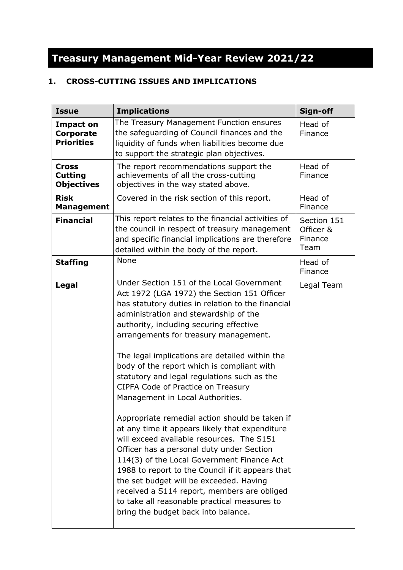# **Treasury Management Mid-Year Review 2021/22**

# **1. CROSS-CUTTING ISSUES AND IMPLICATIONS**

| <b>Issue</b>                                              | <b>Implications</b>                                                                                                                                                                                                                                                                                                                                                                                                                                                                                                                                                                                                                                                                                                                                                                                                                                                                                                                                                                         | Sign-off                                    |
|-----------------------------------------------------------|---------------------------------------------------------------------------------------------------------------------------------------------------------------------------------------------------------------------------------------------------------------------------------------------------------------------------------------------------------------------------------------------------------------------------------------------------------------------------------------------------------------------------------------------------------------------------------------------------------------------------------------------------------------------------------------------------------------------------------------------------------------------------------------------------------------------------------------------------------------------------------------------------------------------------------------------------------------------------------------------|---------------------------------------------|
| <b>Impact on</b><br><b>Corporate</b><br><b>Priorities</b> | The Treasury Management Function ensures<br>the safeguarding of Council finances and the<br>liquidity of funds when liabilities become due<br>to support the strategic plan objectives.                                                                                                                                                                                                                                                                                                                                                                                                                                                                                                                                                                                                                                                                                                                                                                                                     | Head of<br>Finance                          |
| <b>Cross</b><br><b>Cutting</b><br><b>Objectives</b>       | The report recommendations support the<br>achievements of all the cross-cutting<br>objectives in the way stated above.                                                                                                                                                                                                                                                                                                                                                                                                                                                                                                                                                                                                                                                                                                                                                                                                                                                                      | Head of<br>Finance                          |
| <b>Risk</b><br><b>Management</b>                          | Covered in the risk section of this report.                                                                                                                                                                                                                                                                                                                                                                                                                                                                                                                                                                                                                                                                                                                                                                                                                                                                                                                                                 | Head of<br>Finance                          |
| <b>Financial</b>                                          | This report relates to the financial activities of<br>the council in respect of treasury management<br>and specific financial implications are therefore<br>detailed within the body of the report.                                                                                                                                                                                                                                                                                                                                                                                                                                                                                                                                                                                                                                                                                                                                                                                         | Section 151<br>Officer &<br>Finance<br>Team |
| <b>Staffing</b>                                           | <b>None</b>                                                                                                                                                                                                                                                                                                                                                                                                                                                                                                                                                                                                                                                                                                                                                                                                                                                                                                                                                                                 | Head of<br>Finance                          |
| <b>Legal</b>                                              | Under Section 151 of the Local Government<br>Act 1972 (LGA 1972) the Section 151 Officer<br>has statutory duties in relation to the financial<br>administration and stewardship of the<br>authority, including securing effective<br>arrangements for treasury management.<br>The legal implications are detailed within the<br>body of the report which is compliant with<br>statutory and legal regulations such as the<br><b>CIPFA Code of Practice on Treasury</b><br>Management in Local Authorities.<br>Appropriate remedial action should be taken if<br>at any time it appears likely that expenditure<br>will exceed available resources. The S151<br>Officer has a personal duty under Section<br>114(3) of the Local Government Finance Act<br>1988 to report to the Council if it appears that<br>the set budget will be exceeded. Having<br>received a S114 report, members are obliged<br>to take all reasonable practical measures to<br>bring the budget back into balance. | Legal Team                                  |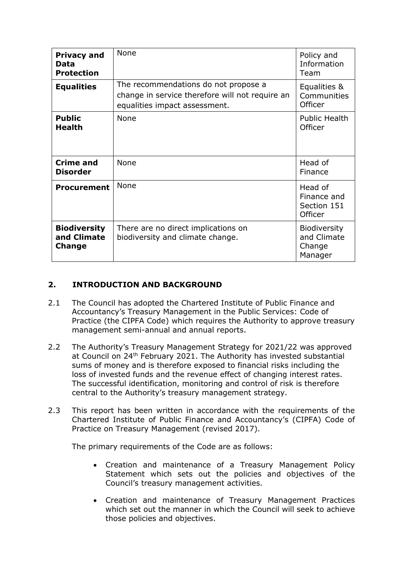| <b>Privacy and</b><br>Data<br><b>Protection</b> | None                                                                                                                     | Policy and<br>Information<br>Team                       |
|-------------------------------------------------|--------------------------------------------------------------------------------------------------------------------------|---------------------------------------------------------|
| <b>Equalities</b>                               | The recommendations do not propose a<br>change in service therefore will not require an<br>equalities impact assessment. | Equalities &<br>Communities<br>Officer                  |
| <b>Public</b><br><b>Health</b>                  | <b>None</b>                                                                                                              | <b>Public Health</b><br>Officer                         |
| <b>Crime and</b><br><b>Disorder</b>             | None                                                                                                                     | Head of<br>Finance                                      |
| <b>Procurement</b>                              | <b>None</b>                                                                                                              | Head of<br>Finance and<br>Section 151<br>Officer        |
| <b>Biodiversity</b><br>and Climate<br>Change    | There are no direct implications on<br>biodiversity and climate change.                                                  | <b>Biodiversity</b><br>and Climate<br>Change<br>Manager |

### **2. INTRODUCTION AND BACKGROUND**

- 2.1 The Council has adopted the Chartered Institute of Public Finance and Accountancy's Treasury Management in the Public Services: Code of Practice (the CIPFA Code) which requires the Authority to approve treasury management semi-annual and annual reports.
- 2.2 The Authority's Treasury Management Strategy for 2021/22 was approved at Council on 24<sup>th</sup> February 2021. The Authority has invested substantial sums of money and is therefore exposed to financial risks including the loss of invested funds and the revenue effect of changing interest rates. The successful identification, monitoring and control of risk is therefore central to the Authority's treasury management strategy.
- 2.3 This report has been written in accordance with the requirements of the Chartered Institute of Public Finance and Accountancy's (CIPFA) Code of Practice on Treasury Management (revised 2017).

The primary requirements of the Code are as follows:

- Creation and maintenance of a Treasury Management Policy Statement which sets out the policies and objectives of the Council's treasury management activities.
- Creation and maintenance of Treasury Management Practices which set out the manner in which the Council will seek to achieve those policies and objectives.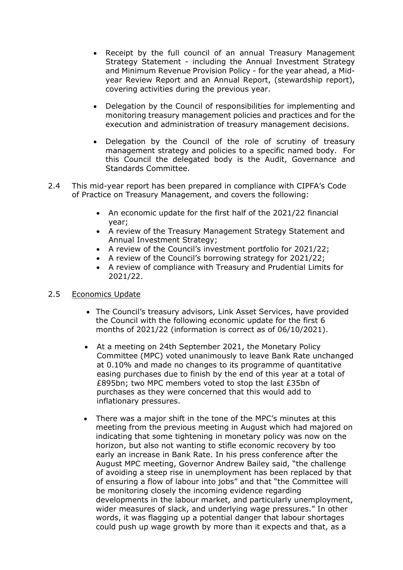- Receipt by the full council of an annual Treasury Management Strategy Statement - including the Annual Investment Strategy and Minimum Revenue Provision Policy - for the year ahead, a Midyear Review Report and an Annual Report, (stewardship report), covering activities during the previous year.
- Delegation by the Council of responsibilities for implementing and monitoring treasury management policies and practices and for the execution and administration of treasury management decisions.
- Delegation by the Council of the role of scrutiny of treasury management strategy and policies to a specific named body. For this Council the delegated body is the Audit, Governance and Standards Committee.
- 2.4 This mid-year report has been prepared in compliance with CIPFA's Code of Practice on Treasury Management, and covers the following:
	- An economic update for the first half of the 2021/22 financial year;
	- A review of the Treasury Management Strategy Statement and Annual Investment Strategy;
	- A review of the Council's investment portfolio for 2021/22;
	- A review of the Council's borrowing strategy for 2021/22;
	- A review of compliance with Treasury and Prudential Limits for 2021/22.

#### 2.5 Economics Update

- The Council's treasury advisors, Link Asset Services, have provided the Council with the following economic update for the first 6 months of 2021/22 (information is correct as of 06/10/2021).
- At a meeting on 24th September 2021, the Monetary Policy Committee (MPC) voted unanimously to leave Bank Rate unchanged at 0.10% and made no changes to its programme of quantitative easing purchases due to finish by the end of this year at a total of £895bn; two MPC members voted to stop the last £35bn of purchases as they were concerned that this would add to inflationary pressures.
- There was a major shift in the tone of the MPC's minutes at this meeting from the previous meeting in August which had majored on indicating that some tightening in monetary policy was now on the horizon, but also not wanting to stifle economic recovery by too early an increase in Bank Rate. In his press conference after the August MPC meeting, Governor Andrew Bailey said, "the challenge of avoiding a steep rise in unemployment has been replaced by that of ensuring a flow of labour into jobs" and that "the Committee will be monitoring closely the incoming evidence regarding developments in the labour market, and particularly unemployment, wider measures of slack, and underlying wage pressures." In other words, it was flagging up a potential danger that labour shortages could push up wage growth by more than it expects and that, as a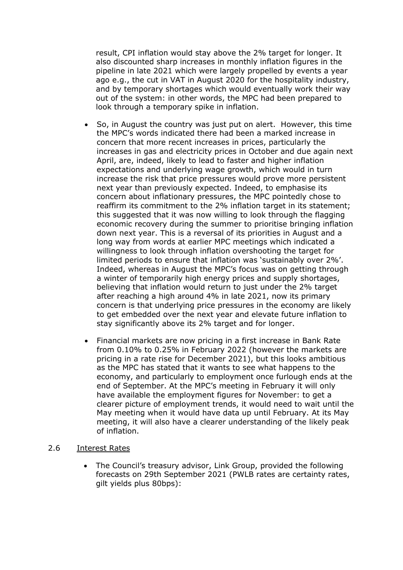result, CPI inflation would stay above the 2% target for longer. It also discounted sharp increases in monthly inflation figures in the pipeline in late 2021 which were largely propelled by events a year ago e.g., the cut in VAT in August 2020 for the hospitality industry, and by temporary shortages which would eventually work their way out of the system: in other words, the MPC had been prepared to look through a temporary spike in inflation.

- So, in August the country was just put on alert. However, this time the MPC's words indicated there had been a marked increase in concern that more recent increases in prices, particularly the increases in gas and electricity prices in October and due again next April, are, indeed, likely to lead to faster and higher inflation expectations and underlying wage growth, which would in turn increase the risk that price pressures would prove more persistent next year than previously expected. Indeed, to emphasise its concern about inflationary pressures, the MPC pointedly chose to reaffirm its commitment to the 2% inflation target in its statement; this suggested that it was now willing to look through the flagging economic recovery during the summer to prioritise bringing inflation down next year. This is a reversal of its priorities in August and a long way from words at earlier MPC meetings which indicated a willingness to look through inflation overshooting the target for limited periods to ensure that inflation was 'sustainably over 2%'. Indeed, whereas in August the MPC's focus was on getting through a winter of temporarily high energy prices and supply shortages, believing that inflation would return to just under the 2% target after reaching a high around 4% in late 2021, now its primary concern is that underlying price pressures in the economy are likely to get embedded over the next year and elevate future inflation to stay significantly above its 2% target and for longer.
- Financial markets are now pricing in a first increase in Bank Rate from 0.10% to 0.25% in February 2022 (however the markets are pricing in a rate rise for December 2021), but this looks ambitious as the MPC has stated that it wants to see what happens to the economy, and particularly to employment once furlough ends at the end of September. At the MPC's meeting in February it will only have available the employment figures for November: to get a clearer picture of employment trends, it would need to wait until the May meeting when it would have data up until February. At its May meeting, it will also have a clearer understanding of the likely peak of inflation.

#### 2.6 Interest Rates

• The Council's treasury advisor, Link Group, provided the following forecasts on 29th September 2021 (PWLB rates are certainty rates, gilt yields plus 80bps):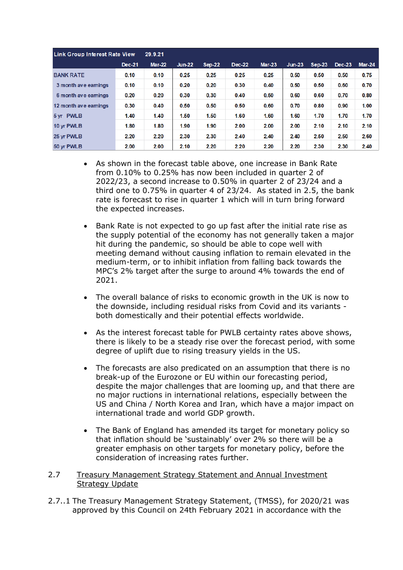| <b>Link Group Interest Rate View</b> | 29.9.21 |               |          |          |               |          |          |          |        |          |
|--------------------------------------|---------|---------------|----------|----------|---------------|----------|----------|----------|--------|----------|
|                                      | Dec-21  | <b>Mar-22</b> | $Jun-22$ | $Sep-22$ | <b>Dec-22</b> | $Mar-23$ | $Jun-23$ | $Sen-23$ | Dec-23 | $Mar-24$ |
| <b>BANK RATE</b>                     | 0.10    | 0.10          | 0.25     | 0.25     | 0.25          | 0.25     | 0.50     | 0.50     | 0.50   | 0.75     |
| 3 month ave earnings                 | 0.10    | 0.10          | 0.20     | 0.20     | 0.30          | 0.40     | 0.50     | 0.50     | 0.60   | 0.70     |
| 6 month ave earnings                 | 0.20    | 0.20          | 0.30     | 0.30     | 0.40          | 0.50     | 0.60     | 0.60     | 0.70   | 0.80     |
| 12 month ave earnings                | 0.30    | 0.40          | 0.50     | 0.50     | 0.50          | 0.60     | 0.70     | 0.80     | 0.90   | 1.00     |
| 5 yr PWLB                            | 1.40    | 1.40          | 1.50     | 1.50     | 1.60          | 1.60     | 1.60     | 1.70     | 1.70   | 1.70     |
| 10 yr PWLB                           | 1.80    | 1.80          | 1.90     | 1.90     | 2.00          | 2.00     | 2.00     | 2.10     | 2.10   | 2.10     |
| 25 yr PWLB                           | 2.20    | 2.20          | 2.30     | 2.30     | 2.40          | 2.40     | 2.40     | 2.50     | 2.50   | 2.60     |
| 50 yr PWLB                           | 2.00    | 2.00          | 2.10     | 2.20     | 2.20          | 2.20     | 2.20     | 2.30     | 2.30   | 2.40     |

- As shown in the forecast table above, one increase in Bank Rate from 0.10% to 0.25% has now been included in quarter 2 of 2022/23, a second increase to 0.50% in quarter 2 of 23/24 and a third one to 0.75% in quarter 4 of 23/24. As stated in 2.5, the bank rate is forecast to rise in quarter 1 which will in turn bring forward the expected increases.
- Bank Rate is not expected to go up fast after the initial rate rise as the supply potential of the economy has not generally taken a major hit during the pandemic, so should be able to cope well with meeting demand without causing inflation to remain elevated in the medium-term, or to inhibit inflation from falling back towards the MPC's 2% target after the surge to around 4% towards the end of 2021.
- The overall balance of risks to economic growth in the UK is now to the downside, including residual risks from Covid and its variants both domestically and their potential effects worldwide.
- As the interest forecast table for PWLB certainty rates above shows, there is likely to be a steady rise over the forecast period, with some degree of uplift due to rising treasury yields in the US.
- The forecasts are also predicated on an assumption that there is no break-up of the Eurozone or EU within our forecasting period, despite the major challenges that are looming up, and that there are no major ructions in international relations, especially between the US and China / North Korea and Iran, which have a major impact on international trade and world GDP growth.
- The Bank of England has amended its target for monetary policy so that inflation should be 'sustainably' over 2% so there will be a greater emphasis on other targets for monetary policy, before the consideration of increasing rates further.

#### 2.7 Treasury Management Strategy Statement and Annual Investment Strategy Update

2.7..1 The Treasury Management Strategy Statement, (TMSS), for 2020/21 was approved by this Council on 24th February 2021 in accordance with the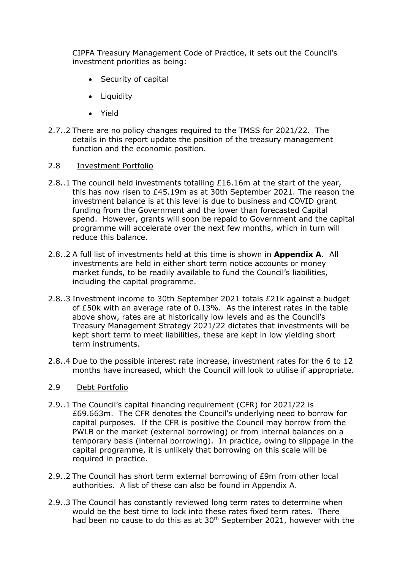CIPFA Treasury Management Code of Practice, it sets out the Council's investment priorities as being:

- Security of capital
- Liquidity
- Yield
- 2.7..2 There are no policy changes required to the TMSS for 2021/22. The details in this report update the position of the treasury management function and the economic position.
- 2.8 Investment Portfolio
- 2.8..1 The council held investments totalling £16.16m at the start of the year, this has now risen to £45.19m as at 30th September 2021. The reason the investment balance is at this level is due to business and COVID grant funding from the Government and the lower than forecasted Capital spend. However, grants will soon be repaid to Government and the capital programme will accelerate over the next few months, which in turn will reduce this balance.
- 2.8..2 A full list of investments held at this time is shown in **Appendix A**. All investments are held in either short term notice accounts or money market funds, to be readily available to fund the Council's liabilities, including the capital programme.
- 2.8..3 Investment income to 30th September 2021 totals £21k against a budget of £50k with an average rate of 0.13%. As the interest rates in the table above show, rates are at historically low levels and as the Council's Treasury Management Strategy 2021/22 dictates that investments will be kept short term to meet liabilities, these are kept in low yielding short term instruments.
- 2.8..4 Due to the possible interest rate increase, investment rates for the 6 to 12 months have increased, which the Council will look to utilise if appropriate.

#### 2.9 Debt Portfolio

- 2.9..1 The Council's capital financing requirement (CFR) for 2021/22 is £69.663m. The CFR denotes the Council's underlying need to borrow for capital purposes. If the CFR is positive the Council may borrow from the PWLB or the market (external borrowing) or from internal balances on a temporary basis (internal borrowing). In practice, owing to slippage in the capital programme, it is unlikely that borrowing on this scale will be required in practice.
- 2.9..2 The Council has short term external borrowing of £9m from other local authorities. A list of these can also be found in Appendix A.
- 2.9..3 The Council has constantly reviewed long term rates to determine when would be the best time to lock into these rates fixed term rates. There had been no cause to do this as at 30<sup>th</sup> September 2021, however with the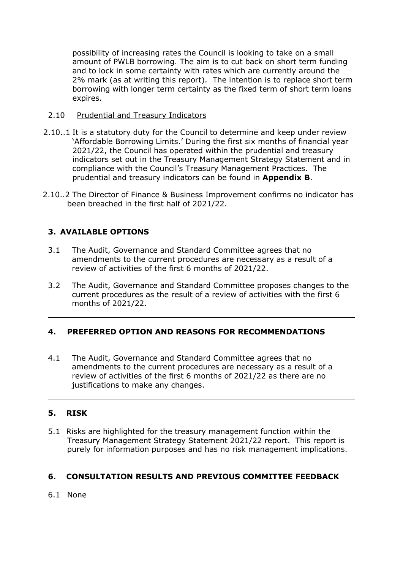possibility of increasing rates the Council is looking to take on a small amount of PWLB borrowing. The aim is to cut back on short term funding and to lock in some certainty with rates which are currently around the 2% mark (as at writing this report). The intention is to replace short term borrowing with longer term certainty as the fixed term of short term loans expires.

- 2.10 Prudential and Treasury Indicators
- 2.10..1 It is a statutory duty for the Council to determine and keep under review 'Affordable Borrowing Limits.' During the first six months of financial year 2021/22, the Council has operated within the prudential and treasury indicators set out in the Treasury Management Strategy Statement and in compliance with the Council's Treasury Management Practices. The prudential and treasury indicators can be found in **Appendix B**.
- 2.10..2 The Director of Finance & Business Improvement confirms no indicator has been breached in the first half of 2021/22.

# **3. AVAILABLE OPTIONS**

- 3.1 The Audit, Governance and Standard Committee agrees that no amendments to the current procedures are necessary as a result of a review of activities of the first 6 months of 2021/22.
- 3.2 The Audit, Governance and Standard Committee proposes changes to the current procedures as the result of a review of activities with the first 6 months of 2021/22.

# **4. PREFERRED OPTION AND REASONS FOR RECOMMENDATIONS**

4.1 The Audit, Governance and Standard Committee agrees that no amendments to the current procedures are necessary as a result of a review of activities of the first 6 months of 2021/22 as there are no justifications to make any changes.

# **5. RISK**

5.1 Risks are highlighted for the treasury management function within the Treasury Management Strategy Statement 2021/22 report. This report is purely for information purposes and has no risk management implications.

# **6. CONSULTATION RESULTS AND PREVIOUS COMMITTEE FEEDBACK**

## 6.1 None